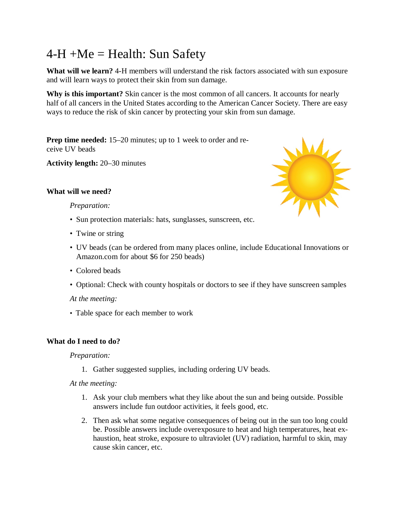# $4-H +Me = Health: Sun Safety$

**What will we learn?** 4-H members will understand the risk factors associated with sun exposure and will learn ways to protect their skin from sun damage.

**Why is this important?** Skin cancer is the most common of all cancers. It accounts for nearly half of all cancers in the United States according to the American Cancer Society. There are easy ways to reduce the risk of skin cancer by protecting your skin from sun damage.

**Prep time needed:** 15–20 minutes; up to 1 week to order and receive UV beads

**Activity length:** 20–30 minutes

## **What will we need?**

#### *Preparation:*

- Sun protection materials: hats, sunglasses, sunscreen, etc.
- Twine or string
- UV beads (can be ordered from many places online, include Educational Innovations or Amazon.com for about \$6 for 250 beads)
- Colored beads
- Optional: Check with county hospitals or doctors to see if they have sunscreen samples

### *At the meeting:*

• Table space for each member to work

### **What do I need to do?**

### *Preparation:*

1. Gather suggested supplies, including ordering UV beads.

### *At the meeting:*

- 1. Ask your club members what they like about the sun and being outside. Possible answers include fun outdoor activities, it feels good, etc.
- 2. Then ask what some negative consequences of being out in the sun too long could be. Possible answers include overexposure to heat and high temperatures, heat exhaustion, heat stroke, exposure to ultraviolet (UV) radiation, harmful to skin, may cause skin cancer, etc.